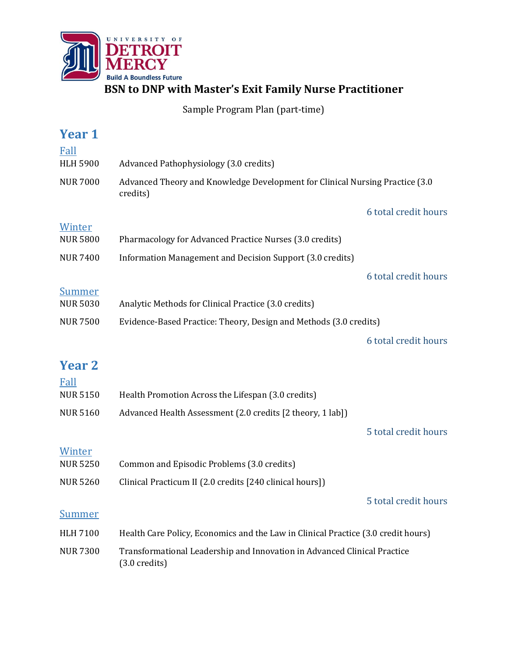

**BSN to DNP with Master's Exit Family Nurse Practitioner**

Sample Program Plan (part-time)

| <b>Year 1</b>                                                                        |                                                                                                     |                      |
|--------------------------------------------------------------------------------------|-----------------------------------------------------------------------------------------------------|----------------------|
| Fall                                                                                 |                                                                                                     |                      |
| <b>HLH 5900</b>                                                                      | Advanced Pathophysiology (3.0 credits)                                                              |                      |
| <b>NUR 7000</b>                                                                      | Advanced Theory and Knowledge Development for Clinical Nursing Practice (3.0<br>credits)            |                      |
|                                                                                      |                                                                                                     | 6 total credit hours |
| Winter                                                                               |                                                                                                     |                      |
| <b>NUR 5800</b>                                                                      | Pharmacology for Advanced Practice Nurses (3.0 credits)                                             |                      |
| <b>NUR 7400</b>                                                                      | Information Management and Decision Support (3.0 credits)                                           |                      |
|                                                                                      |                                                                                                     | 6 total credit hours |
| <b>Summer</b>                                                                        |                                                                                                     |                      |
| <b>NUR 5030</b>                                                                      | Analytic Methods for Clinical Practice (3.0 credits)                                                |                      |
| <b>NUR 7500</b><br>Evidence-Based Practice: Theory, Design and Methods (3.0 credits) |                                                                                                     |                      |
|                                                                                      |                                                                                                     | 6 total credit hours |
| <b>Year 2</b>                                                                        |                                                                                                     |                      |
| Fall                                                                                 |                                                                                                     |                      |
| <b>NUR 5150</b>                                                                      | Health Promotion Across the Lifespan (3.0 credits)                                                  |                      |
| <b>NUR 5160</b>                                                                      | Advanced Health Assessment (2.0 credits [2 theory, 1 lab])                                          |                      |
|                                                                                      |                                                                                                     | 5 total credit hours |
| Winter                                                                               |                                                                                                     |                      |
| <b>NUR 5250</b>                                                                      | Common and Episodic Problems (3.0 credits)                                                          |                      |
| <b>NUR 5260</b>                                                                      | Clinical Practicum II (2.0 credits [240 clinical hours])                                            |                      |
|                                                                                      |                                                                                                     | 5 total credit hours |
| <b>Summer</b>                                                                        |                                                                                                     |                      |
| <b>HLH 7100</b>                                                                      | Health Care Policy, Economics and the Law in Clinical Practice (3.0 credit hours)                   |                      |
| <b>NUR 7300</b>                                                                      | Transformational Leadership and Innovation in Advanced Clinical Practice<br>$(3.0 \text{ credits})$ |                      |
|                                                                                      |                                                                                                     |                      |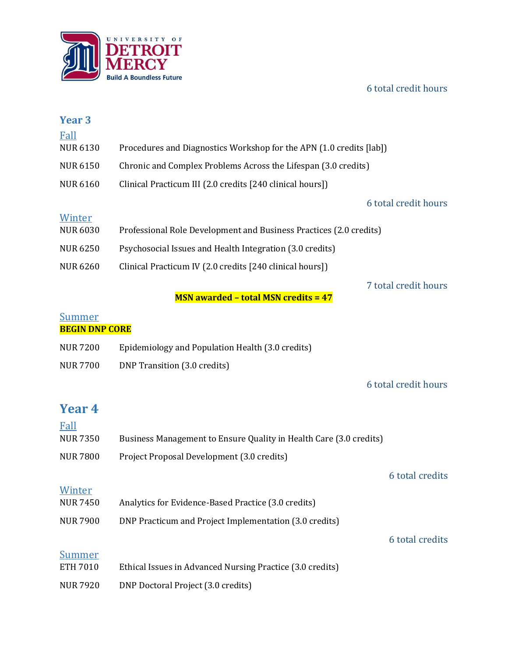## 6 total credit hours



| Year <sub>3</sub>     |                                                                     |                      |
|-----------------------|---------------------------------------------------------------------|----------------------|
| Fall                  |                                                                     |                      |
| <b>NUR 6130</b>       | Procedures and Diagnostics Workshop for the APN (1.0 credits [lab]) |                      |
| <b>NUR 6150</b>       | Chronic and Complex Problems Across the Lifespan (3.0 credits)      |                      |
| <b>NUR 6160</b>       | Clinical Practicum III (2.0 credits [240 clinical hours])           |                      |
|                       |                                                                     | 6 total credit hours |
| Winter                |                                                                     |                      |
| <b>NUR 6030</b>       | Professional Role Development and Business Practices (2.0 credits)  |                      |
| <b>NUR 6250</b>       | Psychosocial Issues and Health Integration (3.0 credits)            |                      |
| <b>NUR 6260</b>       | Clinical Practicum IV (2.0 credits [240 clinical hours])            |                      |
|                       |                                                                     | 7 total credit hours |
|                       | <b>MSN awarded - total MSN credits = 47</b>                         |                      |
| <b>Summer</b>         |                                                                     |                      |
| <b>BEGIN DNP CORE</b> |                                                                     |                      |
| <b>NUR 7200</b>       | Epidemiology and Population Health (3.0 credits)                    |                      |
| <b>NUR 7700</b>       | DNP Transition (3.0 credits)                                        |                      |
|                       |                                                                     | 6 total credit hours |
|                       |                                                                     |                      |
| <b>Year 4</b>         |                                                                     |                      |
| Fall                  |                                                                     |                      |
| <b>NUR 7350</b>       | Business Management to Ensure Quality in Health Care (3.0 credits)  |                      |
| <b>NUR 7800</b>       | Project Proposal Development (3.0 credits)                          |                      |
|                       |                                                                     | 6 total credits      |
| Winter                |                                                                     |                      |
| <b>NUR 7450</b>       | Analytics for Evidence-Based Practice (3.0 credits)                 |                      |
| <b>NUR 7900</b>       | DNP Practicum and Project Implementation (3.0 credits)              |                      |
|                       |                                                                     | 6 total credits      |
|                       |                                                                     |                      |

**Summer** ETH 7010 Ethical Issues in Advanced Nursing Practice (3.0 credits) NUR 7920 DNP Doctoral Project (3.0 credits)